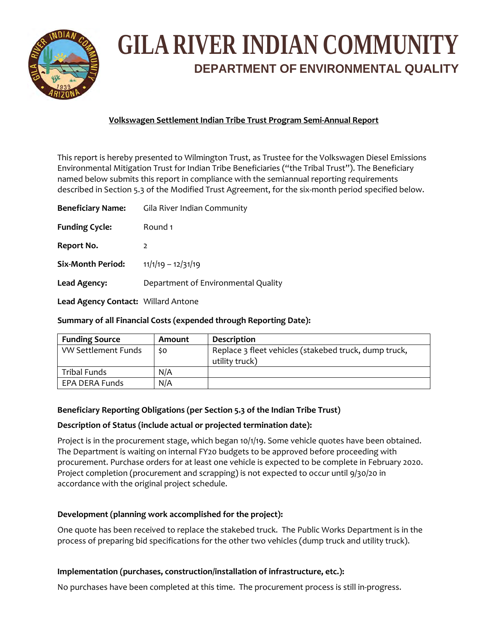

# **GILA RIVER INDIAN COMMUNITY DEPARTMENT OF ENVIRONMENTAL QUALITY**

## **Volkswagen Settlement Indian Tribe Trust Program Semi‐Annual Report**

This report is hereby presented to Wilmington Trust, as Trustee for the Volkswagen Diesel Emissions Environmental Mitigation Trust for Indian Tribe Beneficiaries ("the Tribal Trust"). The Beneficiary named below submits this report in compliance with the semiannual reporting requirements described in Section 5.3 of the Modified Trust Agreement, for the six-month period specified below.

| <b>Beneficiary Name:</b>            | Gila River Indian Community         |
|-------------------------------------|-------------------------------------|
| <b>Funding Cycle:</b>               | Round 1                             |
| Report No.                          | $\overline{2}$                      |
| <b>Six-Month Period:</b>            | $11/1/19 - 12/31/19$                |
| Lead Agency:                        | Department of Environmental Quality |
| Lead Agency Contact: Willard Antone |                                     |

## **Summary of all Financial Costs (expended through Reporting Date):**

| <b>Funding Source</b> | Amount | <b>Description</b>                                                      |
|-----------------------|--------|-------------------------------------------------------------------------|
| VW Settlement Funds   | \$0    | Replace 3 fleet vehicles (stakebed truck, dump truck,<br>utility truck) |
| Tribal Funds          | N/A    |                                                                         |
| EPA DERA Funds        | N/A    |                                                                         |

## **Beneficiary Reporting Obligations (per Section 5.3 of the Indian Tribe Trust)**

### **Description of Status (include actual or projected termination date):**

Project is in the procurement stage, which began 10/1/19. Some vehicle quotes have been obtained. The Department is waiting on internal FY20 budgets to be approved before proceeding with procurement. Purchase orders for at least one vehicle is expected to be complete in February 2020. Project completion (procurement and scrapping) is not expected to occur until 9/30/20 in accordance with the original project schedule.

### **Development (planning work accomplished for the project):**

One quote has been received to replace the stakebed truck. The Public Works Department is in the process of preparing bid specifications for the other two vehicles (dump truck and utility truck).

### **Implementation (purchases, construction/installation of infrastructure, etc.):**

No purchases have been completed at this time. The procurement process is still in‐progress.